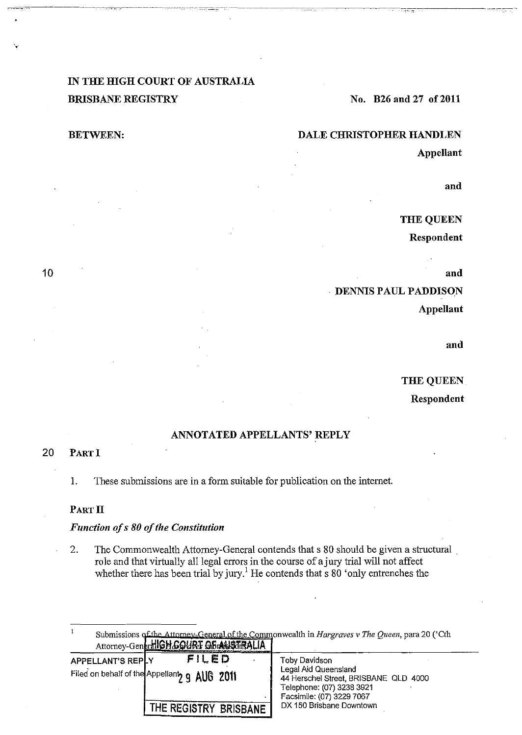# IN THE HIGH COURT OF AUSTRALIA BRISBANE REGISTRY

------~----- --------::-:o------ -------- -·· --·----------... ·-- ·-----·---·--------· --

# No. B26 and 27 of 2011

# BETWEEN:

### DALE CHRISTOPHER HANDLEN

Appellant

and

# THE QUEEN

Respondent

#### and

. DENNIS PAUL PADDISON

Appellant

and

#### THE QUEEN

Respondent

# ANNOTATED APPELLANTS' REPLY

# 20 PARTI

1. These submissions are in a form suitable for publication on the internet.

PART II

# *Function ojs 80 of the Constitution*

2. The Commonwealth Attorney-General contends that s 80 should be given a structural role and that virtually all legal errors in the course of a jury trial will not affect whether there has been trial by jury.<sup>1</sup> He contends that s  $80$  'only entrenches the

 $\mathbf{1}$ Submissions of the Attorney-General of the Commonwealth in Hargraves v The Queen, para 20 ('Cth Attorney-GenerHIGH COURT OF ALLETRALIA

| THURSDAY COMPLEMENTION IN A LOS TRANSMISSION IN THE                               |                                                                                                                                          |
|-----------------------------------------------------------------------------------|------------------------------------------------------------------------------------------------------------------------------------------|
| FILED<br><b>APPELLANT'S REPLY</b><br>Filed on behalf of the Appellanty q AUG 2011 | Toby Davidson<br>Legal Aid Queensland<br>44 Herschel Street, BRISBANE QLD 4000<br>Telephone: (07) 3238 3921<br>Facsimile: (07) 3229 7067 |
| THE REGISTRY BRISBANE                                                             | DX 150 Brisbane Downtown                                                                                                                 |

10

·.-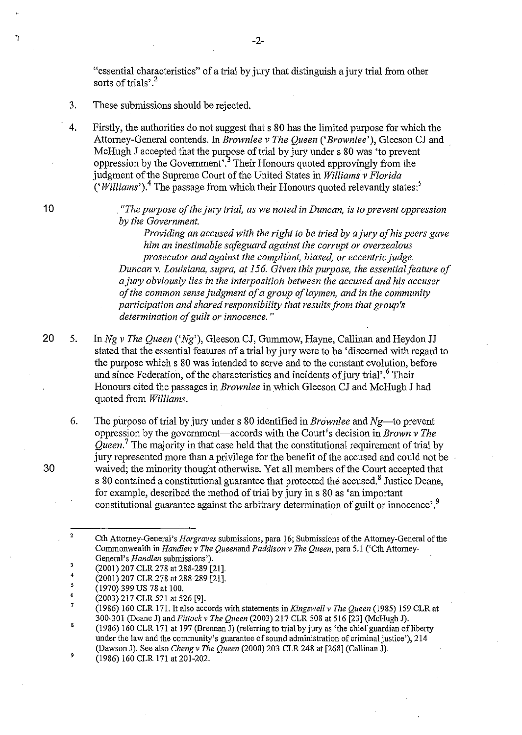"essential characteristics" of a trial by jury that distinguish a jury trial from other sorts of trials'.<sup>2</sup>

# 3. These submissions should be rejected.

4. Firstly, the authorities do not suggest that s 80 has the limited purpose for which the Attorney-General contends. In *Brownlee v The Queen ('Brownlee'),* Gleeson CJ and McHugh J accepted that the purpose of trial by jury under s 80 was 'to prevent oppression by the Government'.<sup>3</sup> Their Honours quoted approvingly from the judgment of the Supreme Court of the United States in *Williams v Florida*  ('*Williams*').<sup>4</sup> The passage from which their Honours quoted relevantly states:<sup>5</sup>

Þ

10 . *"The purpose of the jury trial, as we noted in Duncan,* is *to prevent oppression by the Government.* 

> *Providing an accused with the right to be tried by a jury of his peers gave him an inestimable safeguard against the corrupt or overzealous prosecutor and against the compliant, biased, or eccentric judge. Duncan* v. *Louisiana, supra, at 156. Given this purpose, the essential feature of a jury obviously lies in the interposition between the accused and his accuser of the common sense judgment of a group of laymen, and in the community participation and shared responsibility that results from that group's determination of guilt or innocence.* "

20 5. *InNg v The Queen* ('Ng'), Gleeson CJ, Gummow, Hayne, Callinan and Heydon JJ stated that the essential features of a trial by jury were to be 'discerned with regard to the purpose which s 80 was intended to serve and to the constant evolution, before and since Federation, of the characteristics and incidents of jury trial'.6 Their Honours cited the passages in *Brownlee* in which Gleeson CJ and McHugh J had quoted from *Williams.* 

6. The purpose of trial by jury under s 80 identified in *Brownlee* and *Ng-to* prevent oppression by the government—accords with the Court's decision in *Brown v The Queen.*<sup>7</sup> The majority in that case held that the constitutional requirement of trial by jury represented more than a privilege for the benefit of the accused and could not be. 30 waived; the minority thought otherwise. Yet all members of the Court accepted that s 80 contained a constitutional guarantee that protected the accused.<sup>8</sup> Justice Deane, for example, described the method of trial by jury in s 80 as 'an important constitutional guarantee against the arbitrary determination of guilt or innocence'.<sup>9</sup>

2

8 9 (1986) 160 CLR 171 at 197 (Brennan J) (referring to trial by jury as 'the chief guardian ofliberty under the Jaw and the community's guarantee of sound administration of criminal justice'), 214 (Dawson J). See also *Cheng v The Queen* (2000) 203 CLR 248 at [268] (Callinan J).

Cth Attorney-General's *Hargraves* submissions, para 16; Submissions of the Attorney-General of the Commonwealth in *Hand/en v The Queenand Paddison v The Queen,* para 5.1 ('Cth Attorney-General's *Hand/en* submissions').

<sup>3</sup>  (2001) 207 CLR 278 at 288-289 [21].

<sup>4</sup>  (2001) 207 CLR 278 at 288-289 [21].

*<sup>5</sup>*  (1970) 399 US 78 at 100.

<sup>6</sup>  7 (2003) 217 CLR 521 at 526 [9].

<sup>(1986) 160</sup> CLR 171. It also accords with statements in *Kingswell v The Queen* (1985) 159 CLR at 300-301 (Deane J) and *Fittockv The Queen* (2003) 217 CLR 508 at 516 [23] (McHugh J).

<sup>(1986) 160</sup> CLR 171 at 201-202.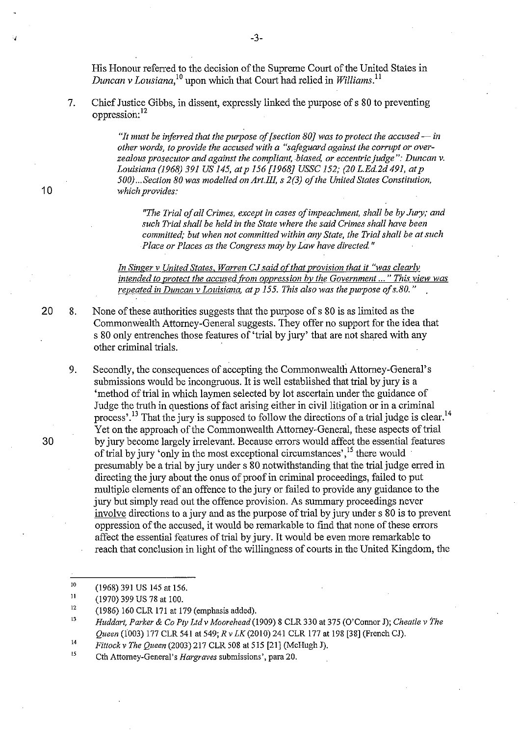His Honour referred to the decision of the Supreme Court of the United States in *Duncan v Lousiana*,<sup>10</sup> upon which that Court had relied in *Williams*.<sup>11</sup>

7. Chief Justice Gibbs, in dissent, expressly linked the purpose of s 80 to preventing oppression:<sup>12</sup>

> *"It must be inferred that the purpose of [section 80} was to protect the accused- in other words, to provide the accused with a "safeguard against the corrupt or over*zealous prosecutor and against the compliant, biased, or eccentric judge": Duncan v. *Louisiana (1968) 391 US 145, at p 156 [1968] USSC 152; (20 L.Ed.2d 491, at p 500) ... Section 80 was modelled on Art.III, s 2(3) of the United States Constitution, which provides:*

*"The Trial of all Crimes, except in cases of impeachment, shall be by Jury; and such Trial shall be held in the State where the said Crimes shall have been committed; but when not committed within any State, the Trial shall be at such Place or Places as the Congress may by Law have directed"* 

In Singer v United States, Warren CJ said of that provision that it "was clearly *intended to protect the accused from oppression by the Government* ... " *This view was repeated in Duncan v Louisiana. at p 155. This also was the purpose ofs.80."* 

20 8. None of these authorities suggests that the purpose of s 80 is as limited as the Commonwealth Attorney-General suggests. They offer no support for the idea that s 80 only entrenches those features of 'trial by jury' that are not shared with any other criminal trials.

9. Secondly, the consequences of accepting the Commonwealth Attorney-General's submissions would be incongruous. It is well established that trial by jury is a 'method of trial in which laymen selected by lot ascertain under the guidance of Judge the truth in questions of fact arising either in civil litigation or in a criminal process'.<sup>13</sup> That the jury is supposed to follow the directions of a trial judge is clear.<sup>14</sup> Yet on the approach of the Commonwealth Attorney-General, these aspects of trial 30 by jury become largely irrelevant. Because errors would affect the essential features of trial by jury 'only in the most exceptional circumstances',<sup>15</sup> there would presumably be a trial by jury under s 80notwithstanding that the trial judge erred in directing the jury about the onus of proof in criminal proceedings, failed to put multiple elements of an offence to the jury or failed to provide any guidance to the jury but simply read out the offence provision. As summary proceedings never involve directions to a jury and as the purpose of trial by jury under s 80 is to prevent oppression of the accused, it would be remarkable to find that none of these errors affect the essential features of trial by jury. It would be even more remarkable to reach that conclusion in light of the willingness of courts in the United Kingdom, the

10

/

<sup>10</sup>  (1968) 391 US 145 at 156.

II (1970) 399 US 78 at 100.

<sup>12</sup>  (1986) 160 CLR 171 at 179 (emphasis added).

<sup>13</sup>  *Huddart, Parker* & *Co Pty Ltd v Moorehead* (1909) 8 CLR 330 at 375 (O'Connor J); *Cheatle v The Queen* (1003) 177 CLR 541 at 549; *R v LK* (2010) 241 CLR 177 at 198 [38](French CJ).

<sup>14</sup>  *Fittock v The Queen* (2003) 217 CLR 508 at 515 [21] (McHugh J).

<sup>15</sup>  Cth Attorney-General's *Hargraves* submissions', para 20.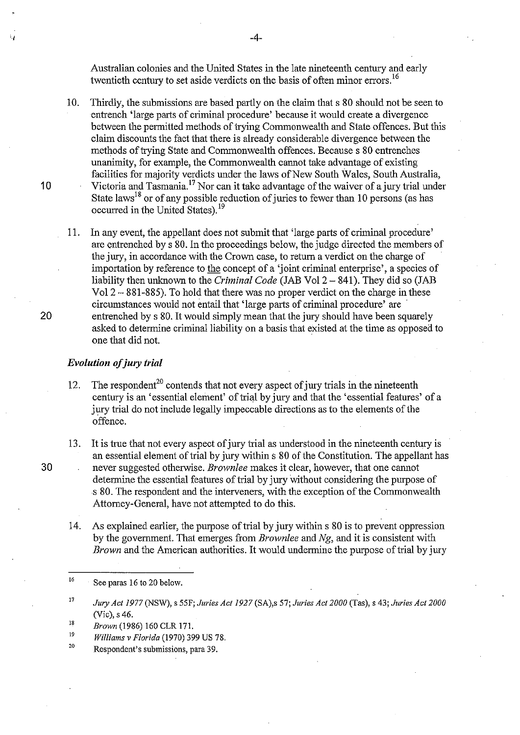Australian colonies and the United States in the late nineteenth century and early twentieth century to set aside verdicts on the basis of often minor errors.<sup>16</sup>

- 10. Thirdly, the submissions are based partly on the claim that s 80 should not be seen to entrench 'large parts of criminal procedure' because it would create a divergence between the permitted methods of trying Commonwealth and State offences. But this claim discounts the fact that there is already considerable divergence between the methods of trying State and Commonwealth offences. Because s 80 entrenches unanimity, for example, the Commonwealth cannot take advantage of existing facilities for majority verdicts under the laws of New South Wales, South Australia, 10 Victoria and Tasmania.<sup>17</sup> Nor can it take advantage of the waiver of a jury trial under State laws<sup>18</sup> or of any possible reduction of juries to fewer than 10 persons (as has occurred in the United States).<sup>19</sup>
- 11. In any event, the appellant does not submit that 'large parts of criminal procedure' are entrenched by s 80. In the proceedings below, the judge directed the members of the jury, in accordance with the Crown case, to return a verdict on the charge of importation by reference to the concept of a 'joint criminal enterprise', a species of liability then unknown to the *Criminal Code* (JAB Vol2- 841). They did so (JAB Vol2- 881-885). To hold that there was no proper verdict on the charge in these circumstances would not entail that 'large parts of criminal procedure' are . 20 entrenched by s 80. It would simply mean that the jury should have been squarely asked to determine criminal liability on a basis that existed at the time as opposed to one that did not.

### *Evolution of jury trial*

- 12. The respondent<sup>20</sup> contends that not every aspect of jury trials in the nineteenth century is an 'essential element' of trial by jury and that the 'essential features' of a jury trial do not include legally impeccable directions as to the elements of the offence.
- 13. It is true that not every aspect of jury trial as understood in the nineteenth century is an essential element of trial by jury within s 80 of the Constitution. The appellant has 30 never suggested otherwise. *Brownlee* makes it clear, however, that one cannot determine the essential features of trial by jury Without considering the purpose of s 80. The respondent and the interveners, with the exception of the Commonwealth Attorney-General, have not attempted to do this.
	- 14. As explained earlier, the purpose of trial by jury within s 80 is to prevent oppression by the government. That emerges from *Brownlee* and *Ng,* and it is consistent with *Brown* and the American authorities. It would undermine the purpose of trial by jury

20 Respondent's submissions, para 39.

 $\mathcal{A}_{\mathcal{A}}$ 

<sup>16</sup>  See paras 16 to 20 below.

<sup>17</sup>  *Jury Act 1977* (NSW), s 55F; *Juries Act 1927* (SA),s 57; *Juries Act 2000* (Tas), s 43; *Juries Act 2000*  (Vic), s 46.

<sup>18</sup>  *Brown* (1986) 160 CLR 171.

<sup>19</sup>  *Williams v Florida* (1970) 399 US 78.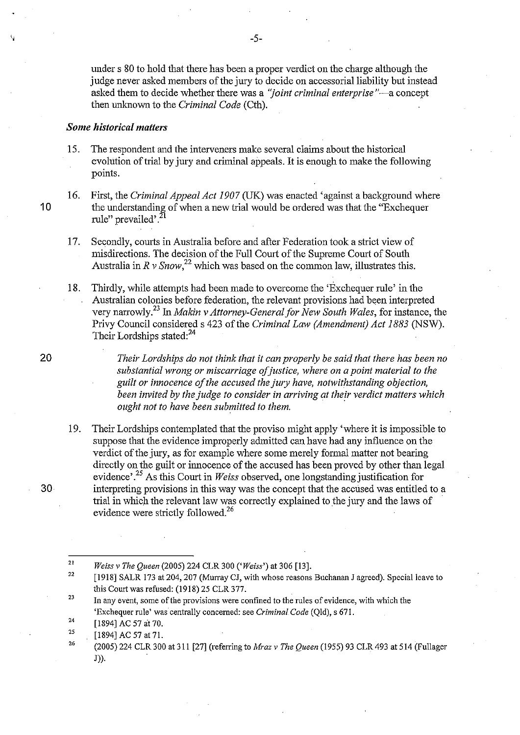under s 80 to hold that there has been a proper verdict on the charge although the judge never asked members of the jury to decide on accessorial liability but instead asked them to decide whether there was a *"joint criminal enterprise"* -a concept then unknown to the *Criminal Code* (Cth).

#### *Some historical matters*

- 15. The respondent and the interveners make several claims about the historical evolution of trial by jury and criminal appeals. It is enough to make the following points.
- 16. First, the *Criminal Appeal Act 1907* (UK) was enacted 'against a background where 10 the understanding of when a new trial would be ordered was that the "Exchequer" rule" prevailed'.<sup>21</sup>
	- 17. Secondly, courts in Australia before and after Federation took a strict view of misdirections. The decision of the Full Court of the Supreme Court of South Australia in  $R v$  Snow,<sup>22</sup> which was based on the common law, illustrates this.
	- 18. Thirdly, while attempts had been made to overcome the 'Exchequer rule' in the Australian colonies before federation, the relevant provisions had been interpreted very narrowly.<sup>23</sup>In *Makin v Attorney-General for New South Wales,* for instance, the Priyy Council considered s 423 of the *Criminal Law (Amendment) Act 1883* (NSW). Their Lordships stated:<sup>24</sup>

20 *Their Lordships do not think that it can properly be said that there has been no substantial wrong or miscarriage ofjustice, where on a point material to the guilt or innocence of the accused the jury have, notwithstanding objection, been invited by the judge to consider in arriving at their verdict matters which ought not to have been submitted to them.* 

19. Their Lordships contemplated that the proviso might apply 'where it is impossible to suppose that the evidence improperly admitted can have had any influence on the verdict of the jury, as for example where some merely formal matter not bearing directly on the guilt or innocence of the accused has been proved by other than legal evidence' . 25 As this Court in *Weiss* observed, one longstanding justification for 30 interpreting provisions in this way was the concept that the accused was entitled to a trial in which the relevant law was correctly explained to the jury and the laws of evidence were strictly followed.<sup>26</sup>

- 23 **In any event, some of the provisions were confined to the rules of evidence, with which the**  'Exchequer rule' was centrally concerned: see *Criminal Code* (Qld), s 671.
- 24 [1894] AC 57 at 70.
- 25 [1894] AC 57 at 71.
- 26 (2005) 224 CLR 300 at 311 [27] (referring to *Mraz v The Queen* (1955) 93 CLR 493 at 514 (Fullager J)).

-5-

<sup>21</sup>  *Weiss v The Queen* (2005) 224 CLR 300 *('Weiss')* at 306 [13].

<sup>22</sup>  [1918] SALR 173 at 204, 207 (Murray CJ, with whose reasons Buchanan J agreed). Special leave to this Court was refused: (1918) 25 CLR 377.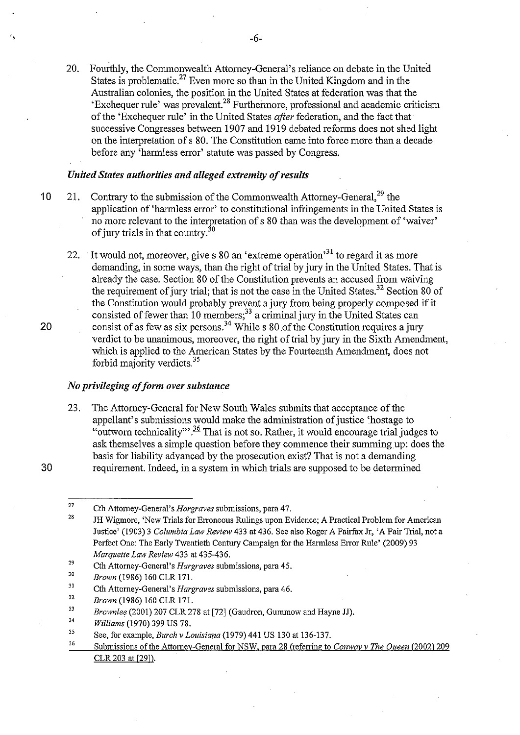20. Fourthly, the Commonwealth Attorney-General's reliance on debate in the United States is problematic.<sup>27</sup> Even more so than in the United Kingdom and in the Australian colonies, the position in the United States at federation was that the 'Exchequer rule' was prevalent.28 Furthermore, professional and academic criticism of the 'Exchequer rule' in the United States *after* federation, and the fact that· successive Congresses between 1907 and 1919 debated reforms does not shed light on the interpretation of s 80. The Constitution came into force more than a decade before any 'harmless error' statute was passed by Congress.

#### *United States authorities and alleged extremity of results*

10 21. Contrary to the submission of the Commonwealth Attorney-General.<sup>29</sup> the application of 'harmless error' to constitutional infringements in the United States is no more relevant to the interpretation of s 80 than was the development of 'waiver' of jury trials in that country. $^{30}$ 

22. It would not, moreover, give s 80 an 'extreme operation<sup>31</sup> to regard it as more demanding, in some ways, than the right of trial by jury in the United States. That is already the case. Section 80 of the Constitution prevents an accused from waiving the requirement of jury trial; that is not the case in the United States.<sup>32</sup> Section 80 of the Constitution would probably prevent a jury from being properly composed if it consisted of fewer than 10 members; $^{33}$  a criminal jury in the United States can 20 consist of as few as six persons.<sup>34</sup> While s 80 of the Constitution requires a jury verdict to be unanimous, moreover, the right of trial by jury in the Sixth Amendment, which is applied to the American States by the Fourteenth Amendment, does not forbid majority verdicts. $35$ 

# *No privileging of form over substance*

23. The Attorney-General for New South Wales submits that acceptance of the appellant's submissions would make the administration of justice 'hostage to "outworn technicality'" *?6* That is not so. Rather, it would encourage trial judges to ask themselves a simple question before they commence their summing up: does the basis for liability advanced by the prosecution exist? That is not a demanding 30 requirement. Indeed, in a system in which trials are supposed to be determined

- 29 Cth Attorney-General's *Hargraves* submissions, para 45.
- 30 *Brown* (1986) 160 CLR 171.
- 31 Cth Attorney-General's *Hargraves* submissions, para 46.

34 *Williams* (1970) 399 US 78.

36 Submissions of the Attorney-General for NSW, para 28 (referring to *Conway v The Queen* (2002) 209 CLR 203 at [29]).

<sup>27</sup>  Cth Attorney-General's *Hargraves* submissions, para 47.

<sup>28</sup>  JH Wigmore, 'New Trials for Erroneous Rulings upon Evidence; A Practical Problem for American Justice' (1903) 3 *Columbia Law Review* 433 at 436. See also Roger A Fairfax Jr, 'A Fair Trial, not a Perfect One: The Early Twentieth Century Campaign for the Harmless Error Rule' (2009) 93 *Marquette Law Review* 433 at 435-436.

<sup>32</sup>  *Brown* (1986) 160 CLR 171.

<sup>33</sup>  *Brownlee* (2001) 207 CLR 278 at [72] (Gaudron, Gummow and Hayne JJ).

<sup>35</sup>  See, for example, *Burch v Louisiana* (1979) 441 US 130 at 136-137.